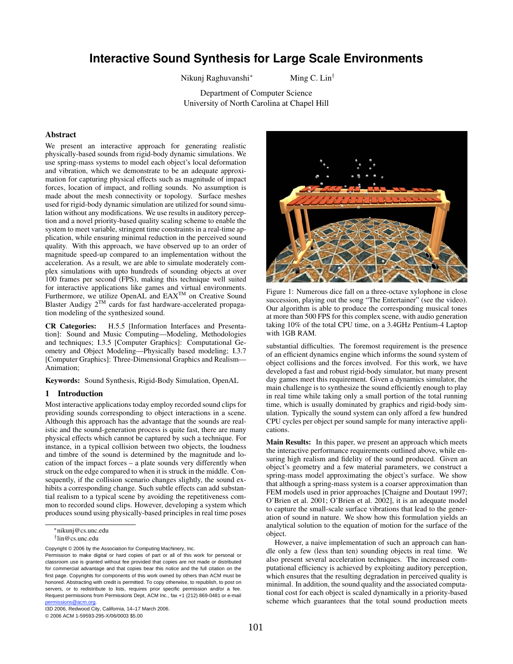# **Interactive Sound Synthesis for Large Scale Environments**

Nikunj Raghuvanshi<sup>∗</sup> Ming C. Lin<sup>†</sup>

Department of Computer Science University of North Carolina at Chapel Hill

# Abstract

We present an interactive approach for generating realistic physically-based sounds from rigid-body dynamic simulations. We use spring-mass systems to model each object's local deformation and vibration, which we demonstrate to be an adequate approximation for capturing physical effects such as magnitude of impact forces, location of impact, and rolling sounds. No assumption is made about the mesh connectivity or topology. Surface meshes used for rigid-body dynamic simulation are utilized for sound simulation without any modifications. We use results in auditory perception and a novel priority-based quality scaling scheme to enable the system to meet variable, stringent time constraints in a real-time application, while ensuring minimal reduction in the perceived sound quality. With this approach, we have observed up to an order of magnitude speed-up compared to an implementation without the acceleration. As a result, we are able to simulate moderately complex simulations with upto hundreds of sounding objects at over 100 frames per second (FPS), making this technique well suited for interactive applications like games and virtual environments. Furthermore, we utilize  $OpenAL$  and  $EAX<sup>TM</sup>$  on Creative Sound Blaster Audigy  $2^{TM}$  cards for fast hardware-accelerated propagation modeling of the synthesized sound.

CR Categories: H.5.5 [Information Interfaces and Presentation]: Sound and Music Computing—Modeling, Methodologies and techniques; I.3.5 [Computer Graphics]: Computational Geometry and Object Modeling—Physically based modeling; I.3.7 [Computer Graphics]: Three-Dimensional Graphics and Realism— Animation;

Keywords: Sound Synthesis, Rigid-Body Simulation, OpenAL

#### 1 Introduction

Most interactive applications today employ recorded sound clips for providing sounds corresponding to object interactions in a scene. Although this approach has the advantage that the sounds are realistic and the sound-generation process is quite fast, there are many physical effects which cannot be captured by such a technique. For instance, in a typical collision between two objects, the loudness and timbre of the sound is determined by the magnitude and location of the impact forces – a plate sounds very differently when struck on the edge compared to when it is struck in the middle. Consequently, if the collision scenario changes slightly, the sound exhibits a corresponding change. Such subtle effects can add substantial realism to a typical scene by avoiding the repetitiveness common to recorded sound clips. However, developing a system which produces sound using physically-based principles in real time poses

Copyright © 2006 by the Association for Computing Machinery, Inc.

© 2006 ACM 1-59593-295-X/06/0003 \$5.00 I3D 2006, Redwood City, California, 14–17 March 2006.



Figure 1: Numerous dice fall on a three-octave xylophone in close succession, playing out the song "The Entertainer" (see the video). Our algorithm is able to produce the corresponding musical tones at more than 500 FPS for this complex scene, with audio generation taking 10% of the total CPU time, on a 3.4GHz Pentium-4 Laptop with 1GB RAM.

substantial difficulties. The foremost requirement is the presence of an efficient dynamics engine which informs the sound system of object collisions and the forces involved. For this work, we have developed a fast and robust rigid-body simulator, but many present day games meet this requirement. Given a dynamics simulator, the main challenge is to synthesize the sound efficiently enough to play in real time while taking only a small portion of the total running time, which is usually dominated by graphics and rigid-body simulation. Typically the sound system can only afford a few hundred CPU cycles per object per sound sample for many interactive applications.

Main Results: In this paper, we present an approach which meets the interactive performance requirements outlined above, while ensuring high realism and fidelity of the sound produced. Given an object's geometry and a few material parameters, we construct a spring-mass model approximating the object's surface. We show that although a spring-mass system is a coarser approximation than FEM models used in prior approaches [Chaigne and Doutaut 1997; O'Brien et al. 2001; O'Brien et al. 2002], it is an adequate model to capture the small-scale surface vibrations that lead to the generation of sound in nature. We show how this formulation yields an analytical solution to the equation of motion for the surface of the object.

However, a naive implementation of such an approach can handle only a few (less than ten) sounding objects in real time. We also present several acceleration techniques. The increased computational efficiency is achieved by exploiting auditory perception, which ensures that the resulting degradation in perceived quality is minimal. In addition, the sound quality and the associated computational cost for each object is scaled dynamically in a priority-based scheme which guarantees that the total sound production meets

<sup>∗</sup>nikunj@cs.unc.edu

<sup>†</sup> lin@cs.unc.edu

Permission to make digital or hard copies of part or all of this work for personal or classroom use is granted without fee provided that copies are not made or distributed for commercial advantage and that copies bear this notice and the full citation on the first page. Copyrights for components of this work owned by others than ACM must be honored. Abstracting with credit is permitted. To copy otherwise, to republish, to post on servers, or to redistribute to lists, requires prior specific permission and/or a fee. Request permissions from Permissions Dept, ACM Inc., fax +1 (212) 869-0481 or e-mail ns@acm.or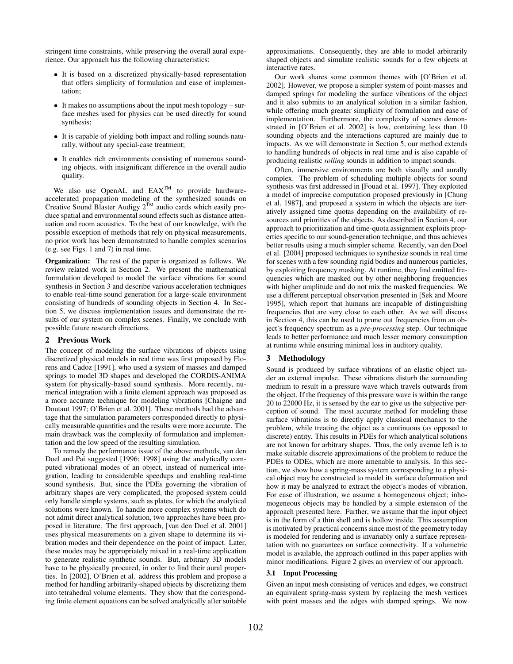stringent time constraints, while preserving the overall aural experience. Our approach has the following characteristics:

- It is based on a discretized physically-based representation that offers simplicity of formulation and ease of implementation;
- It makes no assumptions about the input mesh topology surface meshes used for physics can be used directly for sound synthesis;
- It is capable of yielding both impact and rolling sounds naturally, without any special-case treatment;
- It enables rich environments consisting of numerous sounding objects, with insignificant difference in the overall audio quality.

We also use OpenAL and  $EAX^{TM}$  to provide hardwareaccelerated propagation modeling of the synthesized sounds on Creative Sound Blaster Audigy  $2^{TM}$  audio cards which easily produce spatial and environmental sound effects such as distance attenuation and room acoustics. To the best of our knowledge, with the possible exception of methods that rely on physical measurements, no prior work has been demonstrated to handle complex scenarios (e.g. see Figs. 1 and 7) in real time.

Organization: The rest of the paper is organized as follows. We review related work in Section 2. We present the mathematical formulation developed to model the surface vibrations for sound synthesis in Section 3 and describe various acceleration techniques to enable real-time sound generation for a large-scale environment consisting of hundreds of sounding objects in Section 4. In Section 5, we discuss implementation issues and demonstrate the results of our system on complex scenes. Finally, we conclude with possible future research directions.

# 2 Previous Work

The concept of modeling the surface vibrations of objects using discretized physical models in real time was first proposed by Florens and Cadoz [1991], who used a system of masses and damped springs to model 3D shapes and developed the CORDIS-ANIMA system for physically-based sound synthesis. More recently, numerical integration with a finite element approach was proposed as a more accurate technique for modeling vibrations [Chaigne and Doutaut 1997; O'Brien et al. 2001]. These methods had the advantage that the simulation parameters corresponded directly to physically measurable quantities and the results were more accurate. The main drawback was the complexity of formulation and implementation and the low speed of the resulting simulation.

To remedy the performance issue of the above methods, van den Doel and Pai suggested [1996; 1998] using the analytically computed vibrational modes of an object, instead of numerical integration, leading to considerable speedups and enabling real-time sound synthesis. But, since the PDEs governing the vibration of arbitrary shapes are very complicated, the proposed system could only handle simple systems, such as plates, for which the analytical solutions were known. To handle more complex systems which do not admit direct analytical solution, two approaches have been proposed in literature. The first approach, [van den Doel et al. 2001] uses physical measurements on a given shape to determine its vibration modes and their dependence on the point of impact. Later, these modes may be appropriately mixed in a real-time application to generate realistic synthetic sounds. But, arbitrary 3D models have to be physically procured, in order to find their aural properties. In [2002], O'Brien et al. address this problem and propose a method for handling arbitrarily-shaped objects by discretizing them into tetrahedral volume elements. They show that the corresponding finite element equations can be solved analytically after suitable approximations. Consequently, they are able to model arbitrarily shaped objects and simulate realistic sounds for a few objects at interactive rates.

Our work shares some common themes with [O'Brien et al. 2002]. However, we propose a simpler system of point-masses and damped springs for modeling the surface vibrations of the object and it also submits to an analytical solution in a similar fashion, while offering much greater simplicity of formulation and ease of implementation. Furthermore, the complexity of scenes demonstrated in [O'Brien et al. 2002] is low, containing less than 10 sounding objects and the interactions captured are mainly due to impacts. As we will demonstrate in Section 5, our method extends to handling hundreds of objects in real time and is also capable of producing realistic *rolling* sounds in addition to impact sounds.

Often, immersive environments are both visually and aurally complex. The problem of scheduling multiple objects for sound synthesis was first addressed in [Fouad et al. 1997]. They exploited a model of imprecise computation proposed previously in [Chung et al. 1987], and proposed a system in which the objects are iteratively assigned time quotas depending on the availability of resources and priorities of the objects. As described in Section 4, our approach to prioritization and time-quota assignment exploits properties specific to our sound-generation technique, and thus achieves better results using a much simpler scheme. Recently, van den Doel et al. [2004] proposed techniques to synthesize sounds in real time for scenes with a few sounding rigid bodies and numerous particles, by exploiting frequency masking. At runtime, they find emitted frequencies which are masked out by other neighboring frequencies with higher amplitude and do not mix the masked frequencies. We use a different perceptual observation presented in [Sek and Moore 1995], which report that humans are incapable of distinguishing frequencies that are very close to each other. As we will discuss in Section 4, this can be used to prune out frequencies from an object's frequency spectrum as a *pre-processing* step. Our technique leads to better performance and much lesser memory consumption at runtime while ensuring minimal loss in auditory quality.

# 3 Methodology

Sound is produced by surface vibrations of an elastic object under an external impulse. These vibrations disturb the surrounding medium to result in a pressure wave which travels outwards from the object. If the frequency of this pressure wave is within the range 20 to 22000 Hz, it is sensed by the ear to give us the subjective perception of sound. The most accurate method for modeling these surface vibrations is to directly apply classical mechanics to the problem, while treating the object as a continuous (as opposed to discrete) entity. This results in PDEs for which analytical solutions are not known for arbitrary shapes. Thus, the only avenue left is to make suitable discrete approximations of the problem to reduce the PDEs to ODEs, which are more amenable to analysis. In this section, we show how a spring-mass system corresponding to a physical object may be constructed to model its surface deformation and how it may be analyzed to extract the object's modes of vibration. For ease of illustration, we assume a homogeneous object; inhomogeneous objects may be handled by a simple extension of the approach presented here. Further, we assume that the input object is in the form of a thin shell and is hollow inside. This assumption is motivated by practical concerns since most of the geometry today is modeled for rendering and is invariably only a surface representation with no guarantees on surface connectivity. If a volumetric model is available, the approach outlined in this paper applies with minor modifications. Figure 2 gives an overview of our approach.

#### 3.1 Input Processing

Given an input mesh consisting of vertices and edges, we construct an equivalent spring-mass system by replacing the mesh vertices with point masses and the edges with damped springs. We now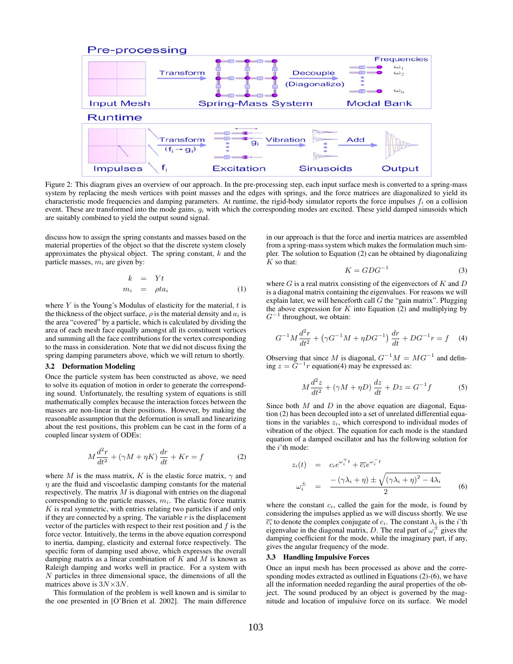

Figure 2: This diagram gives an overview of our approach. In the pre-processing step, each input surface mesh is converted to a spring-mass system by replacing the mesh vertices with point masses and the edges with springs, and the force matrices are diagonalized to yield its characteristic mode frequencies and damping parameters. At runtime, the rigid-body simulator reports the force impulses  $f_i$  on a collision event. These are transformed into the mode gains,  $g_i$  with which the corresponding modes are excited. These yield damped sinusoids which are suitably combined to yield the output sound signal.

discuss how to assign the spring constants and masses based on the material properties of the object so that the discrete system closely approximates the physical object. The spring constant, k and the particle masses,  $m_i$  are given by:

$$
k = Yt
$$
  
\n
$$
m_i = pta_i
$$
 (1)

where  $Y$  is the Young's Modulus of elasticity for the material,  $t$  is the thickness of the object surface,  $\rho$  is the material density and  $a_i$  is the area "covered" by a particle, which is calculated by dividing the area of each mesh face equally amongst all its constituent vertices and summing all the face contributions for the vertex corresponding to the mass in consideration. Note that we did not discuss fixing the spring damping parameters above, which we will return to shortly.

#### 3.2 Deformation Modeling

Once the particle system has been constructed as above, we need to solve its equation of motion in order to generate the corresponding sound. Unfortunately, the resulting system of equations is still mathematically complex because the interaction forces between the masses are non-linear in their positions. However, by making the reasonable assumption that the deformation is small and linearizing about the rest positions, this problem can be cast in the form of a coupled linear system of ODEs:

$$
M\frac{d^2r}{dt^2} + (\gamma M + \eta K)\frac{dr}{dt} + Kr = f \tag{2}
$$

where M is the mass matrix, K is the elastic force matrix,  $\gamma$  and  $\eta$  are the fluid and viscoelastic damping constants for the material respectively. The matrix  $M$  is diagonal with entries on the diagonal corresponding to the particle masses,  $m<sub>i</sub>$ . The elastic force matrix  $K$  is real symmetric, with entries relating two particles if and only if they are connected by a spring. The variable  $r$  is the displacement vector of the particles with respect to their rest position and  $f$  is the force vector. Intuitively, the terms in the above equation correspond to inertia, damping, elasticity and external force respectively. The specific form of damping used above, which expresses the overall damping matrix as a linear combination of K and M is known as Raleigh damping and works well in practice. For a system with  $N$  particles in three dimensional space, the dimensions of all the matrices above is  $3N \times 3N$ .

This formulation of the problem is well known and is similar to the one presented in [O'Brien et al. 2002]. The main difference in our approach is that the force and inertia matrices are assembled from a spring-mass system which makes the formulation much simpler. The solution to Equation (2) can be obtained by diagonalizing  $K$  so that:

$$
K = G D G^{-1} \tag{3}
$$

where  $G$  is a real matrix consisting of the eigenvectors of  $K$  and  $D$ is a diagonal matrix containing the eigenvalues. For reasons we will explain later, we will henceforth call  $G$  the "gain matrix". Plugging the above expression for  $K$  into Equation (2) and multiplying by  $G^{-1}$  throughout, we obtain:

$$
G^{-1}M\frac{d^2r}{dt^2} + (\gamma G^{-1}M + \eta DG^{-1})\frac{dr}{dt} + DG^{-1}r = f \quad (4)
$$

Observing that since M is diagonal,  $G^{-1}M = MG^{-1}$  and defining  $z = \overline{G}^{-1}r$  equation(4) may be expressed as:

$$
M\frac{d^2z}{dt^2} + (\gamma M + \eta D)\frac{dz}{dt} + Dz = G^{-1}f
$$
 (5)

Since both  $M$  and  $D$  in the above equation are diagonal, Equation (2) has been decoupled into a set of unrelated differential equations in the variables  $z_i$ , which correspond to individual modes of vibration of the object. The equation for each mode is the standard equation of a damped oscillator and has the following solution for the *i*'th mode:

$$
z_i(t) = c_i e^{\omega_i^+ t} + \overline{c_i} e^{\omega_i^- t}
$$
  

$$
\omega_i^{\pm} = \frac{-(\gamma \lambda_i + \eta) \pm \sqrt{(\gamma \lambda_i + \eta)^2 - 4\lambda_i}}{2}
$$
 (6)

where the constant  $c_i$ , called the gain for the mode, is found by considering the impulses applied as we will discuss shortly. We use  $\overline{c_i}$  to denote the complex conjugate of  $c_i$ . The constant  $\lambda_i$  is the *i*'th eigenvalue in the diagonal matrix, D. The real part of  $\omega_i^{\pm}$  gives the damping coefficient for the mode, while the imaginary part, if any, gives the angular frequency of the mode.

#### 3.3 Handling Impulsive Forces

Once an input mesh has been processed as above and the corresponding modes extracted as outlined in Equations (2)-(6), we have all the information needed regarding the aural properties of the object. The sound produced by an object is governed by the magnitude and location of impulsive force on its surface. We model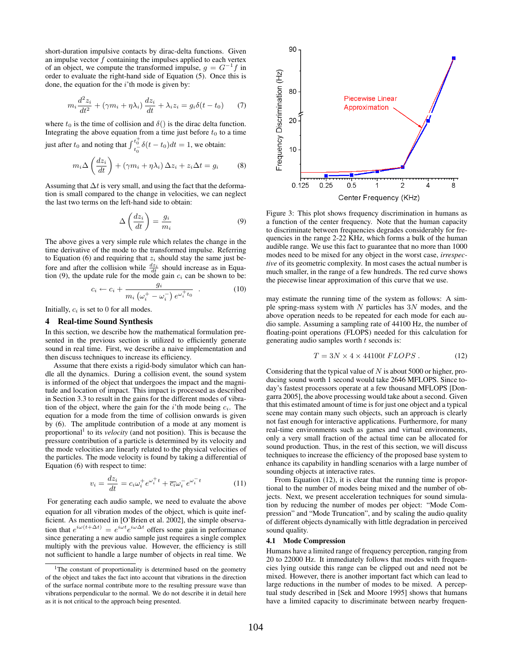short-duration impulsive contacts by dirac-delta functions. Given an impulse vector  $f$  containing the impulses applied to each vertex of an object, we compute the transformed impulse,  $g = G^{-1}f$  in order to evaluate the right-hand side of Equation (5). Once this is done, the equation for the  $i$ <sup>th</sup> mode is given by:

$$
m_i \frac{d^2 z_i}{dt^2} + (\gamma m_i + \eta \lambda_i) \frac{dz_i}{dt} + \lambda_i z_i = g_i \delta(t - t_0)
$$
 (7)

where  $t_0$  is the time of collision and  $\delta()$  is the dirac delta function. Integrating the above equation from a time just before  $t_0$  to a time just after  $t_0$  and noting that  $\int_{t_0}^{t_0^+} \delta(t - t_0) dt = 1$ , we obtain:

$$
m_i \Delta \left(\frac{dz_i}{dt}\right) + \left(\gamma m_i + \eta \lambda_i\right) \Delta z_i + z_i \Delta t = g_i \tag{8}
$$

Assuming that  $\Delta t$  is very small, and using the fact that the deformation is small compared to the change in velocities, we can neglect the last two terms on the left-hand side to obtain:

$$
\Delta \left( \frac{dz_i}{dt} \right) = \frac{g_i}{m_i} \tag{9}
$$

The above gives a very simple rule which relates the change in the time derivative of the mode to the transformed impulse. Referring to Equation (6) and requiring that  $z_i$  should stay the same just before and after the collision while  $\frac{dz_i}{dt}$  should increase as in Equation (9), the update rule for the mode gain  $c_i$  can be shown to be:

$$
c_i \leftarrow c_i + \frac{g_i}{m_i \left(\omega_i^+ - \omega_i^-\right) e^{\omega_i^+ t_0}} \tag{10}
$$

Initially,  $c_i$  is set to 0 for all modes.

# 4 Real-time Sound Synthesis

In this section, we describe how the mathematical formulation presented in the previous section is utilized to efficiently generate sound in real time. First, we describe a naive implementation and then discuss techniques to increase its efficiency.

Assume that there exists a rigid-body simulator which can handle all the dynamics. During a collision event, the sound system is informed of the object that undergoes the impact and the magnitude and location of impact. This impact is processed as described in Section 3.3 to result in the gains for the different modes of vibration of the object, where the gain for the i'th mode being  $c_i$ . The equation for a mode from the time of collision onwards is given by (6). The amplitude contribution of a mode at any moment is proportional<sup>1</sup> to its *velocity* (and not position). This is because the pressure contribution of a particle is determined by its velocity and the mode velocities are linearly related to the physical velocities of the particles. The mode velocity is found by taking a differential of Equation (6) with respect to time:

$$
v_i = \frac{dz_i}{dt} = c_i \omega_i^+ e^{\omega_i^+ t} + \overline{c_i} \omega_i^- e^{\omega_i^- t} \tag{11}
$$

For generating each audio sample, we need to evaluate the above equation for all vibration modes of the object, which is quite inefficient. As mentioned in [O'Brien et al. 2002], the simple observation that  $e^{i\omega(t+\Delta t)} = e^{i\omega t}e^{i\omega\Delta t}$  offers some gain in performance since generating a new audio sample just requires a single complex multiply with the previous value. However, the efficiency is still not sufficient to handle a large number of objects in real time. We



Figure 3: This plot shows frequency discrimination in humans as a function of the center frequency. Note that the human capacity to discriminate between frequencies degrades considerably for frequencies in the range 2-22 KHz, which forms a bulk of the human audible range. We use this fact to guarantee that no more than 1000 modes need to be mixed for any object in the worst case, *irrespective* of its geometric complexity. In most cases the actual number is much smaller, in the range of a few hundreds. The red curve shows the piecewise linear approximation of this curve that we use.

may estimate the running time of the system as follows: A simple spring-mass system with  $N$  particles has  $3N$  modes, and the above operation needs to be repeated for each mode for each audio sample. Assuming a sampling rate of 44100 Hz, the number of floating-point operations (FLOPS) needed for this calculation for generating audio samples worth  $t$  seconds is:

$$
T = 3N \times 4 \times 44100t FLOPS. \tag{12}
$$

Considering that the typical value of  $N$  is about 5000 or higher, producing sound worth 1 second would take 2646 MFLOPS. Since today's fastest processors operate at a few thousand MFLOPS [Dongarra 2005], the above processing would take about a second. Given that this estimated amount of time is for just one object and a typical scene may contain many such objects, such an approach is clearly not fast enough for interactive applications. Furthermore, for many real-time environments such as games and virtual environments, only a very small fraction of the actual time can be allocated for sound production. Thus, in the rest of this section, we will discuss techniques to increase the efficiency of the proposed base system to enhance its capability in handling scenarios with a large number of sounding objects at interactive rates.

From Equation (12), it is clear that the running time is proportional to the number of modes being mixed and the number of objects. Next, we present acceleration techniques for sound simulation by reducing the number of modes per object: "Mode Compression" and "Mode Truncation", and by scaling the audio quality of different objects dynamically with little degradation in perceived sound quality.

# 4.1 Mode Compression

Humans have a limited range of frequency perception, ranging from 20 to 22000 Hz. It immediately follows that modes with frequencies lying outside this range can be clipped out and need not be mixed. However, there is another important fact which can lead to large reductions in the number of modes to be mixed. A perceptual study described in [Sek and Moore 1995] shows that humans have a limited capacity to discriminate between nearby frequen-

<sup>&</sup>lt;sup>1</sup>The constant of proportionality is determined based on the geometry of the object and takes the fact into account that vibrations in the direction of the surface normal contribute more to the resulting pressure wave than vibrations perpendicular to the normal. We do not describe it in detail here as it is not critical to the approach being presented.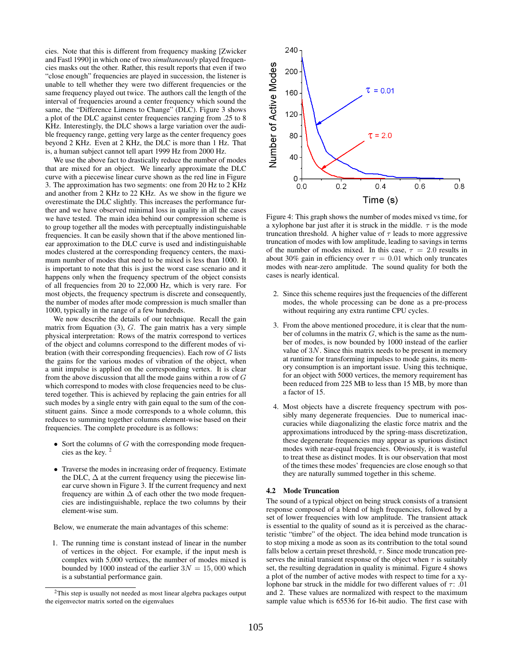cies. Note that this is different from frequency masking [Zwicker and Fastl 1990] in which one of two *simultaneously* played frequencies masks out the other. Rather, this result reports that even if two "close enough" frequencies are played in succession, the listener is unable to tell whether they were two different frequencies or the same frequency played out twice. The authors call the length of the interval of frequencies around a center frequency which sound the same, the "Difference Limens to Change" (DLC). Figure 3 shows a plot of the DLC against center frequencies ranging from .25 to 8 KHz. Interestingly, the DLC shows a large variation over the audible frequency range, getting very large as the center frequency goes beyond 2 KHz. Even at 2 KHz, the DLC is more than 1 Hz. That is, a human subject cannot tell apart 1999 Hz from 2000 Hz.

We use the above fact to drastically reduce the number of modes that are mixed for an object. We linearly approximate the DLC curve with a piecewise linear curve shown as the red line in Figure 3. The approximation has two segments: one from 20 Hz to 2 KHz and another from 2 KHz to 22 KHz. As we show in the figure we overestimate the DLC slightly. This increases the performance further and we have observed minimal loss in quality in all the cases we have tested. The main idea behind our compression scheme is to group together all the modes with perceptually indistinguishable frequencies. It can be easily shown that if the above mentioned linear approximation to the DLC curve is used and indistinguishable modes clustered at the corresponding frequency centers, the maximum number of modes that need to be mixed is less than 1000. It is important to note that this is just the worst case scenario and it happens only when the frequency spectrum of the object consists of all frequencies from 20 to 22,000 Hz, which is very rare. For most objects, the frequency spectrum is discrete and consequently, the number of modes after mode compression is much smaller than 1000, typically in the range of a few hundreds.

We now describe the details of our technique. Recall the gain matrix from Equation  $(3)$ ,  $G$ . The gain matrix has a very simple physical interpretation: Rows of the matrix correspond to vertices of the object and columns correspond to the different modes of vibration (with their corresponding frequencies). Each row of G lists the gains for the various modes of vibration of the object, when a unit impulse is applied on the corresponding vertex. It is clear from the above discussion that all the mode gains within a row of  $G$ which correspond to modes with close frequencies need to be clustered together. This is achieved by replacing the gain entries for all such modes by a single entry with gain equal to the sum of the constituent gains. Since a mode corresponds to a whole column, this reduces to summing together columns element-wise based on their frequencies. The complete procedure is as follows:

- Sort the columns of  $G$  with the corresponding mode frequencies as the key.  $2$
- Traverse the modes in increasing order of frequency. Estimate the DLC,  $\Delta$  at the current frequency using the piecewise linear curve shown in Figure 3. If the current frequency and next frequency are within ∆ of each other the two mode frequencies are indistinguishable, replace the two columns by their element-wise sum.

Below, we enumerate the main advantages of this scheme:

1. The running time is constant instead of linear in the number of vertices in the object. For example, if the input mesh is complex with 5,000 vertices, the number of modes mixed is bounded by 1000 instead of the earlier  $3N = 15,000$  which is a substantial performance gain.



Figure 4: This graph shows the number of modes mixed vs time, for a xylophone bar just after it is struck in the middle.  $\tau$  is the mode truncation threshold. A higher value of  $\tau$  leads to more aggressive truncation of modes with low amplitude, leading to savings in terms of the number of modes mixed. In this case,  $\tau = 2.0$  results in about 30% gain in efficiency over  $\tau = 0.01$  which only truncates modes with near-zero amplitude. The sound quality for both the cases is nearly identical.

- 2. Since this scheme requires just the frequencies of the different modes, the whole processing can be done as a pre-process without requiring any extra runtime CPU cycles.
- 3. From the above mentioned procedure, it is clear that the number of columns in the matrix  $G$ , which is the same as the number of modes, is now bounded by 1000 instead of the earlier value of 3N. Since this matrix needs to be present in memory at runtime for transforming impulses to mode gains, its memory consumption is an important issue. Using this technique, for an object with 5000 vertices, the memory requirement has been reduced from 225 MB to less than 15 MB, by more than a factor of 15.
- 4. Most objects have a discrete frequency spectrum with possibly many degenerate frequencies. Due to numerical inaccuracies while diagonalizing the elastic force matrix and the approximations introduced by the spring-mass discretization, these degenerate frequencies may appear as spurious distinct modes with near-equal frequencies. Obviously, it is wasteful to treat these as distinct modes. It is our observation that most of the times these modes' frequencies are close enough so that they are naturally summed together in this scheme.

#### 4.2 Mode Truncation

The sound of a typical object on being struck consists of a transient response composed of a blend of high frequencies, followed by a set of lower frequencies with low amplitude. The transient attack is essential to the quality of sound as it is perceived as the characteristic "timbre" of the object. The idea behind mode truncation is to stop mixing a mode as soon as its contribution to the total sound falls below a certain preset threshold,  $\tau$ . Since mode truncation preserves the initial transient response of the object when  $\tau$  is suitably set, the resulting degradation in quality is minimal. Figure 4 shows a plot of the number of active modes with respect to time for a xylophone bar struck in the middle for two different values of  $\tau$ : .01 and 2. These values are normalized with respect to the maximum sample value which is 65536 for 16-bit audio. The first case with

 $2$ This step is usually not needed as most linear algebra packages output the eigenvector matrix sorted on the eigenvalues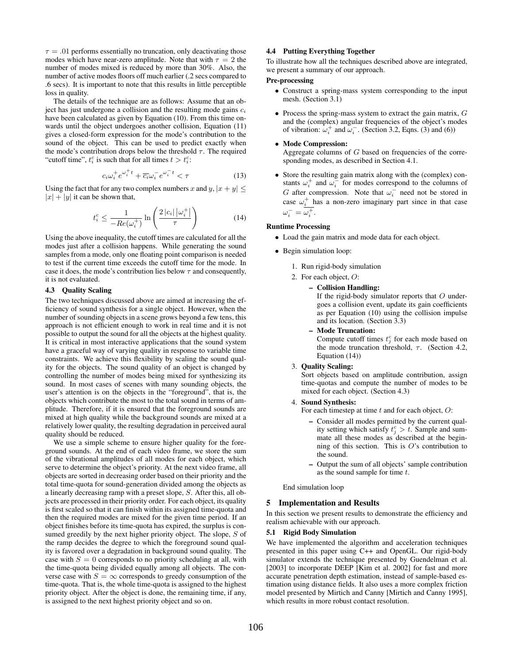$\tau = .01$  performs essentially no truncation, only deactivating those modes which have near-zero amplitude. Note that with  $\tau = 2$  the number of modes mixed is reduced by more than 30%. Also, the number of active modes floors off much earlier (.2 secs compared to .6 secs). It is important to note that this results in little perceptible loss in quality.

The details of the technique are as follows: Assume that an object has just undergone a collision and the resulting mode gains  $c_i$ have been calculated as given by Equation (10). From this time onwards until the object undergoes another collision, Equation (11) gives a closed-form expression for the mode's contribution to the sound of the object. This can be used to predict exactly when the mode's contribution drops below the threshold  $\tau$ . The required "cutoff time",  $t_i^c$  is such that for all times  $t > t_i^c$ :

$$
c_i \omega_i^+ e^{\omega_i^+ t} + \overline{c_i} \omega_i^- e^{\omega_i^- t} < \tau \tag{13}
$$

Using the fact that for any two complex numbers x and  $y, |x + y| \leq$  $|x| + |y|$  it can be shown that,

$$
t_i^c \le \frac{1}{-Re(\omega_i^+)} \ln\left(\frac{2|c_i| |\omega_i^+|}{\tau}\right) \tag{14}
$$

Using the above inequality, the cutoff times are calculated for all the modes just after a collision happens. While generating the sound samples from a mode, only one floating point comparison is needed to test if the current time exceeds the cutoff time for the mode. In case it does, the mode's contribution lies below  $\tau$  and consequently, it is not evaluated.

# 4.3 Quality Scaling

The two techniques discussed above are aimed at increasing the efficiency of sound synthesis for a single object. However, when the number of sounding objects in a scene grows beyond a few tens, this approach is not efficient enough to work in real time and it is not possible to output the sound for all the objects at the highest quality. It is critical in most interactive applications that the sound system have a graceful way of varying quality in response to variable time constraints. We achieve this flexibility by scaling the sound quality for the objects. The sound quality of an object is changed by controlling the number of modes being mixed for synthesizing its sound. In most cases of scenes with many sounding objects, the user's attention is on the objects in the "foreground", that is, the objects which contribute the most to the total sound in terms of amplitude. Therefore, if it is ensured that the foreground sounds are mixed at high quality while the background sounds are mixed at a relatively lower quality, the resulting degradation in perceived aural quality should be reduced.

We use a simple scheme to ensure higher quality for the foreground sounds. At the end of each video frame, we store the sum of the vibrational amplitudes of all modes for each object, which serve to determine the object's priority. At the next video frame, all objects are sorted in decreasing order based on their priority and the total time-quota for sound-generation divided among the objects as a linearly decreasing ramp with a preset slope, S. After this, all objects are processed in their priority order. For each object, its quality is first scaled so that it can finish within its assigned time-quota and then the required modes are mixed for the given time period. If an object finishes before its time-quota has expired, the surplus is consumed greedily by the next higher priority object. The slope, S of the ramp decides the degree to which the foreground sound quality is favored over a degradation in background sound quality. The case with  $S = 0$  corresponds to no priority scheduling at all, with the time-quota being divided equally among all objects. The converse case with  $S = \infty$  corresponds to greedy consumption of the time-quota. That is, the whole time-quota is assigned to the highest priority object. After the object is done, the remaining time, if any, is assigned to the next highest priority object and so on.

# 4.4 Putting Everything Together

To illustrate how all the techniques described above are integrated, we present a summary of our approach.

#### Pre-processing

- Construct a spring-mass system corresponding to the input mesh. (Section 3.1)
- Process the spring-mass system to extract the gain matrix,  $G$ and the (complex) angular frequencies of the object's modes of vibration:  $\omega_i^+$  and  $\omega_i^-$ . (Section 3.2, Eqns. (3) and (6))

#### • Mode Compression:

Aggregate columns of  $G$  based on frequencies of the corresponding modes, as described in Section 4.1.

• Store the resulting gain matrix along with the (complex) constants  $\omega_i^+$  and  $\omega_i^-$  for modes correspond to the columns of G after compression. Note that  $\omega_i^-$  need not be stored in case  $\omega_i^+$  has a non-zero imaginary part since in that case  $\omega_i^- = \overline{\omega_i^+}.$ 

#### Runtime Processing

- Load the gain matrix and mode data for each object.
- Begin simulation loop:
	- 1. Run rigid-body simulation
	- 2. For each object, O:
		- Collision Handling:

If the rigid-body simulator reports that  $O$  undergoes a collision event, update its gain coefficients as per Equation (10) using the collision impulse and its location. (Section 3.3)

– Mode Truncation:

Compute cutoff times  $t_j^c$  for each mode based on the mode truncation threshold,  $\tau$ . (Section 4.2, Equation (14))

3. Quality Scaling:

Sort objects based on amplitude contribution, assign time-quotas and compute the number of modes to be mixed for each object. (Section 4.3)

## 4. Sound Synthesis:

- For each timestep at time  $t$  and for each object,  $O$ :
	- Consider all modes permitted by the current quality setting which satisfy  $t_j^c > t$ . Sample and summate all these modes as described at the beginning of this section. This is  $O$ 's contribution to the sound.
	- Output the sum of all objects' sample contribution as the sound sample for time t.

End simulation loop

# 5 Implementation and Results

In this section we present results to demonstrate the efficiency and realism achievable with our approach.

#### 5.1 Rigid Body Simulation

We have implemented the algorithm and acceleration techniques presented in this paper using C++ and OpenGL. Our rigid-body simulator extends the technique presented by Guendelman et al. [2003] to incorporate DEEP [Kim et al. 2002] for fast and more accurate penetration depth estimation, instead of sample-based estimation using distance fields. It also uses a more complex friction model presented by Mirtich and Canny [Mirtich and Canny 1995], which results in more robust contact resolution.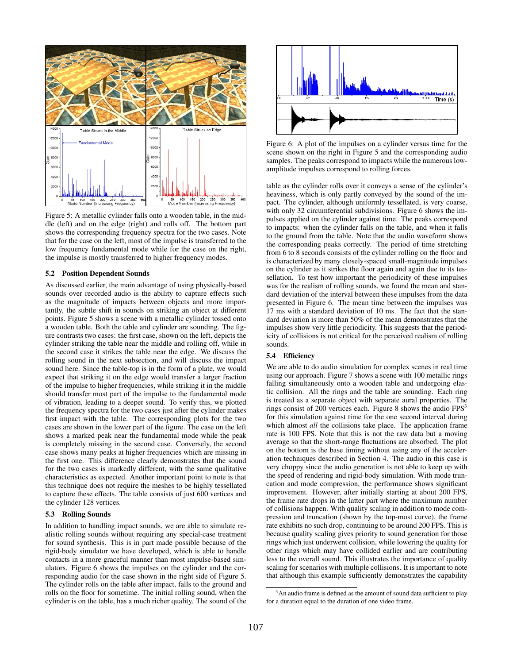

Figure 5: A metallic cylinder falls onto a wooden table, in the middle (left) and on the edge (right) and rolls off. The bottom part shows the corresponding frequency spectra for the two cases. Note that for the case on the left, most of the impulse is transferred to the low frequency fundamental mode while for the case on the right, the impulse is mostly transferred to higher frequency modes.

### 5.2 Position Dependent Sounds

As discussed earlier, the main advantage of using physically-based sounds over recorded audio is the ability to capture effects such as the magnitude of impacts between objects and more importantly, the subtle shift in sounds on striking an object at different points. Figure 5 shows a scene with a metallic cylinder tossed onto a wooden table. Both the table and cylinder are sounding. The figure contrasts two cases: the first case, shown on the left, depicts the cylinder striking the table near the middle and rolling off, while in the second case it strikes the table near the edge. We discuss the rolling sound in the next subsection, and will discuss the impact sound here. Since the table-top is in the form of a plate, we would expect that striking it on the edge would transfer a larger fraction of the impulse to higher frequencies, while striking it in the middle should transfer most part of the impulse to the fundamental mode of vibration, leading to a deeper sound. To verify this, we plotted the frequency spectra for the two cases just after the cylinder makes first impact with the table. The corresponding plots for the two cases are shown in the lower part of the figure. The case on the left shows a marked peak near the fundamental mode while the peak is completely missing in the second case. Conversely, the second case shows many peaks at higher frequencies which are missing in the first one. This difference clearly demonstrates that the sound for the two cases is markedly different, with the same qualitative characteristics as expected. Another important point to note is that this technique does not require the meshes to be highly tessellated to capture these effects. The table consists of just 600 vertices and the cylinder 128 vertices.

## 5.3 Rolling Sounds

In addition to handling impact sounds, we are able to simulate realistic rolling sounds without requiring any special-case treatment for sound synthesis. This is in part made possible because of the rigid-body simulator we have developed, which is able to handle contacts in a more graceful manner than most impulse-based simulators. Figure 6 shows the impulses on the cylinder and the corresponding audio for the case shown in the right side of Figure 5. The cylinder rolls on the table after impact, falls to the ground and rolls on the floor for sometime. The initial rolling sound, when the cylinder is on the table, has a much richer quality. The sound of the



Figure 6: A plot of the impulses on a cylinder versus time for the scene shown on the right in Figure 5 and the corresponding audio samples. The peaks correspond to impacts while the numerous lowamplitude impulses correspond to rolling forces.

table as the cylinder rolls over it conveys a sense of the cylinder's heaviness, which is only partly conveyed by the sound of the impact. The cylinder, although uniformly tessellated, is very coarse, with only 32 circumferential subdivisions. Figure 6 shows the impulses applied on the cylinder against time. The peaks correspond to impacts: when the cylinder falls on the table, and when it falls to the ground from the table. Note that the audio waveform shows the corresponding peaks correctly. The period of time stretching from 6 to 8 seconds consists of the cylinder rolling on the floor and is characterized by many closely-spaced small-magnitude impulses on the cylinder as it strikes the floor again and again due to its tessellation. To test how important the periodicity of these impulses was for the realism of rolling sounds, we found the mean and standard deviation of the interval between these impulses from the data presented in Figure 6. The mean time between the impulses was 17 ms with a standard deviation of 10 ms. The fact that the standard deviation is more than 50% of the mean demonstrates that the impulses show very little periodicity. This suggests that the periodicity of collisions is not critical for the perceived realism of rolling sounds.

#### 5.4 Efficiency

We are able to do audio simulation for complex scenes in real time using our approach. Figure 7 shows a scene with 100 metallic rings falling simultaneously onto a wooden table and undergoing elastic collision. All the rings and the table are sounding. Each ring is treated as a separate object with separate aural properties. The rings consist of 200 vertices each. Figure 8 shows the audio  $FPS<sup>3</sup>$ for this simulation against time for the one second interval during which almost *all* the collisions take place. The application frame rate is 100 FPS. Note that this is not the raw data but a moving average so that the short-range fluctuations are absorbed. The plot on the bottom is the base timing without using any of the acceleration techniques described in Section 4. The audio in this case is very choppy since the audio generation is not able to keep up with the speed of rendering and rigid-body simulation. With mode truncation and mode compression, the performance shows significant improvement. However, after initially starting at about 200 FPS, the frame rate drops in the latter part where the maximum number of collisions happen. With quality scaling in addition to mode compression and truncation (shown by the top-most curve), the frame rate exhibits no such drop, continuing to be around 200 FPS. This is because quality scaling gives priority to sound generation for those rings which just underwent collision, while lowering the quality for other rings which may have collided earlier and are contributing less to the overall sound. This illustrates the importance of quality scaling for scenarios with multiple collisions. It is important to note that although this example sufficiently demonstrates the capability

<sup>&</sup>lt;sup>3</sup>An audio frame is defined as the amount of sound data sufficient to play for a duration equal to the duration of one video frame.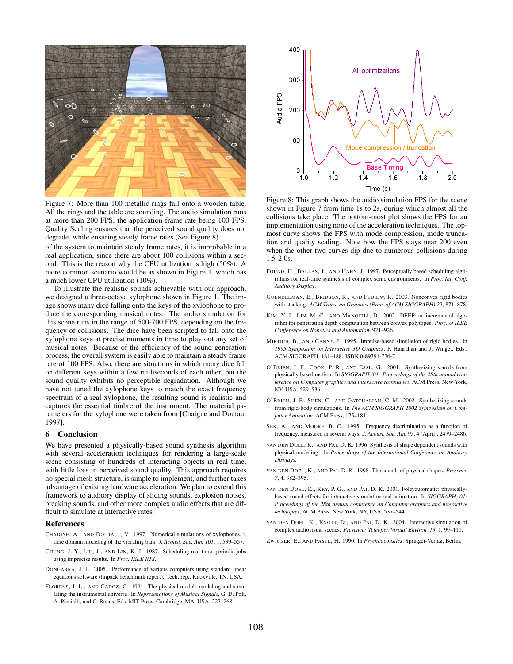

Figure 7: More than 100 metallic rings fall onto a wooden table. All the rings and the table are sounding. The audio simulation runs at more than 200 FPS, the application frame rate being 100 FPS. Quality Scaling ensures that the perceived sound quality does not degrade, while ensuring steady frame rates (See Figure 8)

of the system to maintain steady frame rates, it is improbable in a real application, since there are about 100 collisions within a second. This is the reason why the CPU utilization is high (50%). A more common scenario would be as shown in Figure 1, which has a much lower CPU utilization (10%).

To illustrate the realistic sounds achievable with our approach, we designed a three-octave xylophone shown in Figure 1. The image shows many dice falling onto the keys of the xylophone to produce the corresponding musical notes. The audio simulation for this scene runs in the range of 500-700 FPS, depending on the frequency of collisions. The dice have been scripted to fall onto the xylophone keys at precise moments in time to play out any set of musical notes. Because of the efficiency of the sound generation process, the overall system is easily able to maintain a steady frame rate of 100 FPS. Also, there are situations in which many dice fall on different keys within a few milliseconds of each other, but the sound quality exhibits no perceptible degradation. Although we have not tuned the xylophone keys to match the exact frequency spectrum of a real xylophone, the resulting sound is realistic and captures the essential timbre of the instrument. The material parameters for the xylophone were taken from [Chaigne and Doutaut 1997].

#### 6 Conclusion

We have presented a physically-based sound synthesis algorithm with several acceleration techniques for rendering a large-scale scene consisting of hundreds of interacting objects in real time, with little loss in perceived sound quality. This approach requires no special mesh structure, is simple to implement, and further takes advantage of existing hardware acceleration. We plan to extend this framework to auditory display of sliding sounds, explosion noises, breaking sounds, and other more complex audio effects that are difficult to simulate at interactive rates.

#### References

- CHAIGNE, A., AND DOUTAUT, V. 1997. Numerical simulations of xylophones. i. time domain modeling of the vibrating bars. *J. Acoust. Soc. Am. 101*, 1, 539–557.
- CHUNG, J. Y., LIU, J., AND LIN, K. J. 1987. Scheduling real-time, periodic jobs using imprecise results. In *Proc. IEEE RTS*.
- DONGARRA, J. J. 2005. Performance of various computers using standard linear equations software (linpack benchmark report). Tech. rep., Knoxville, TN, USA.
- FLORENS, J. L., AND CADOZ, C. 1991. The physical model: modeling and simulating the instrumental universe. In *Represenations of Musical Signals*, G. D. Poli, A. Piccialli, and C. Roads, Eds. MIT Press, Cambridge, MA, USA, 227–268.



Figure 8: This graph shows the audio simulation FPS for the scene shown in Figure 7 from time 1s to 2s, during which almost all the collisions take place. The bottom-most plot shows the FPS for an implementation using none of the acceleration techniques. The topmost curve shows the FPS with mode compression, mode truncation and quality scaling. Note how the FPS stays near 200 even when the other two curves dip due to numerous collisions during 1.5-2.0s.

- FOUAD, H., BALLAS, J., AND HAHN, J. 1997. Perceptually based scheduling algorithms for real-time synthesis of complex sonic environments. In *Proc. Int. Conf. Auditory Display*.
- GUENDELMAN, E., BRIDSON, R., AND FEDKIW, R. 2003. Nonconvex rigid bodies with stacking. *ACM Trans. on Graphics (Proc. of ACM SIGGRAPH) 22*, 871–878.
- KIM, Y. J., LIN, M. C., AND MANOCHA, D. 2002. DEEP: an incremental algorithm for penetration depth computation between convex polytopes. *Proc. of IEEE Conference on Robotics and Automation*, 921–926.
- MIRTICH, B., AND CANNY, J. 1995. Impulse-based simulation of rigid bodies. In *1995 Symposium on Interactive 3D Graphics*, P. Hanrahan and J. Winget, Eds., ACM SIGGRAPH, 181–188. ISBN 0-89791-736-7.
- O'BRIEN, J. F., COOK, P. R., AND ESSL, G. 2001. Synthesizing sounds from physically based motion. In *SIGGRAPH '01: Proceedings of the 28th annual conference on Computer graphics and interactive techniques*, ACM Press, New York, NY, USA, 529–536.
- O'BRIEN, J. F., SHEN, C., AND GATCHALIAN, C. M. 2002. Synthesizing sounds from rigid-body simulations. In *The ACM SIGGRAPH 2002 Symposium on Computer Animation*, ACM Press, 175–181.
- SEK, A., AND MOORE, B. C. 1995. Frequency discrimination as a function of frequency, measured in several ways. *J. Acoust. Soc. Am. 97*, 4 (April), 2479–2486.
- VAN DEN DOEL, K., AND PAI, D. K. 1996. Synthesis of shape dependent sounds with physical modeling. In *Proceedings of the International Conference on Auditory Displays*.
- VAN DEN DOEL, K., AND PAI, D. K. 1998. The sounds of physical shapes. *Presence 7*, 4, 382–395.
- VAN DEN DOEL, K., KRY, P. G., AND PAI, D. K. 2001. Foleyautomatic: physicallybased sound effects for interactive simulation and animation. In *SIGGRAPH '01: Proceedings of the 28th annual conference on Computer graphics and interactive techniques*, ACM Press, New York, NY, USA, 537–544.
- VAN DEN DOEL, K., KNOTT, D., AND PAI, D. K. 2004. Interactive simulation of complex audiovisual scenes. *Presence: Teleoper. Virtual Environ. 13*, 1, 99–111.
- ZWICKER, E., AND FASTL, H. 1990. In *Psychoacoustics*. Springer-Verlag, Berlin.